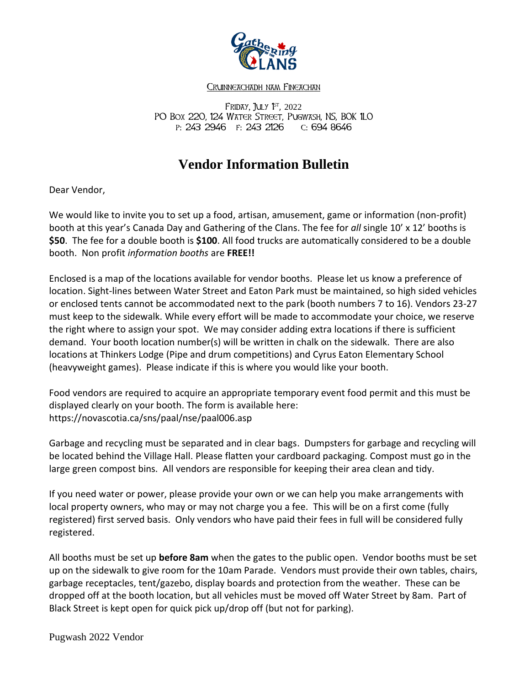

## CRUINNEACHADH NAM FINEACHAN

Friday, **J**uly 1<sup>st</sup>, 2022 PO Box 220, 124 WATER STREET, PUGWASH, NS, BOK 1LO p: 243 2946 f: 243 2126 c: 694 8646

## **Vendor Information Bulletin**

Dear Vendor,

We would like to invite you to set up a food, artisan, amusement, game or information (non-profit) booth at this year's Canada Day and Gathering of the Clans. The fee for *all* single 10' x 12' booths is **\$50**. The fee for a double booth is **\$100**. All food trucks are automatically considered to be a double booth. Non profit *information booths* are **FREE!!**

Enclosed is a map of the locations available for vendor booths. Please let us know a preference of location. Sight-lines between Water Street and Eaton Park must be maintained, so high sided vehicles or enclosed tents cannot be accommodated next to the park (booth numbers 7 to 16). Vendors 23-27 must keep to the sidewalk. While every effort will be made to accommodate your choice, we reserve the right where to assign your spot. We may consider adding extra locations if there is sufficient demand. Your booth location number(s) will be written in chalk on the sidewalk. There are also locations at Thinkers Lodge (Pipe and drum competitions) and Cyrus Eaton Elementary School (heavyweight games). Please indicate if this is where you would like your booth.

Food vendors are required to acquire an appropriate temporary event food permit and this must be displayed clearly on your booth. The form is available here: https://novascotia.ca/sns/paal/nse/paal006.asp

Garbage and recycling must be separated and in clear bags. Dumpsters for garbage and recycling will be located behind the Village Hall. Please flatten your cardboard packaging. Compost must go in the large green compost bins. All vendors are responsible for keeping their area clean and tidy.

If you need water or power, please provide your own or we can help you make arrangements with local property owners, who may or may not charge you a fee. This will be on a first come (fully registered) first served basis. Only vendors who have paid their fees in full will be considered fully registered.

All booths must be set up **before 8am** when the gates to the public open. Vendor booths must be set up on the sidewalk to give room for the 10am Parade. Vendors must provide their own tables, chairs, garbage receptacles, tent/gazebo, display boards and protection from the weather. These can be dropped off at the booth location, but all vehicles must be moved off Water Street by 8am. Part of Black Street is kept open for quick pick up/drop off (but not for parking).